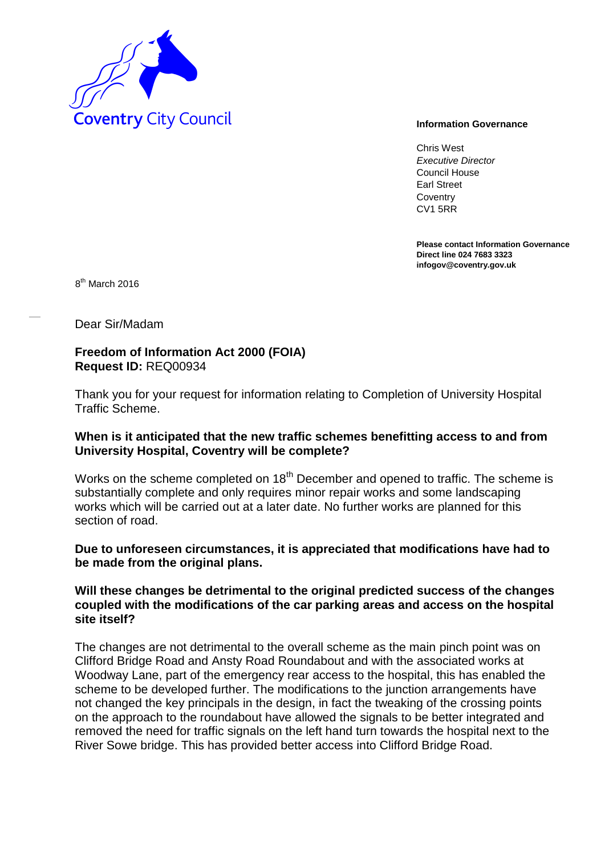

Chris West *Executive Director* Council House Earl Street **Coventry** CV1 5RR

**Please contact Information Governance Direct line 024 7683 3323 infogov@coventry.gov.uk** 

8<sup>th</sup> March 2016

Dear Sir/Madam

## **Freedom of Information Act 2000 (FOIA) Request ID:** REQ00934

Thank you for your request for information relating to Completion of University Hospital Traffic Scheme.

# **When is it anticipated that the new traffic schemes benefitting access to and from University Hospital, Coventry will be complete?**

Works on the scheme completed on 18<sup>th</sup> December and opened to traffic. The scheme is substantially complete and only requires minor repair works and some landscaping works which will be carried out at a later date. No further works are planned for this section of road.

# **Due to unforeseen circumstances, it is appreciated that modifications have had to be made from the original plans.**

## **Will these changes be detrimental to the original predicted success of the changes coupled with the modifications of the car parking areas and access on the hospital site itself?**

The changes are not detrimental to the overall scheme as the main pinch point was on Clifford Bridge Road and Ansty Road Roundabout and with the associated works at Woodway Lane, part of the emergency rear access to the hospital, this has enabled the scheme to be developed further. The modifications to the junction arrangements have not changed the key principals in the design, in fact the tweaking of the crossing points on the approach to the roundabout have allowed the signals to be better integrated and removed the need for traffic signals on the left hand turn towards the hospital next to the River Sowe bridge. This has provided better access into Clifford Bridge Road.